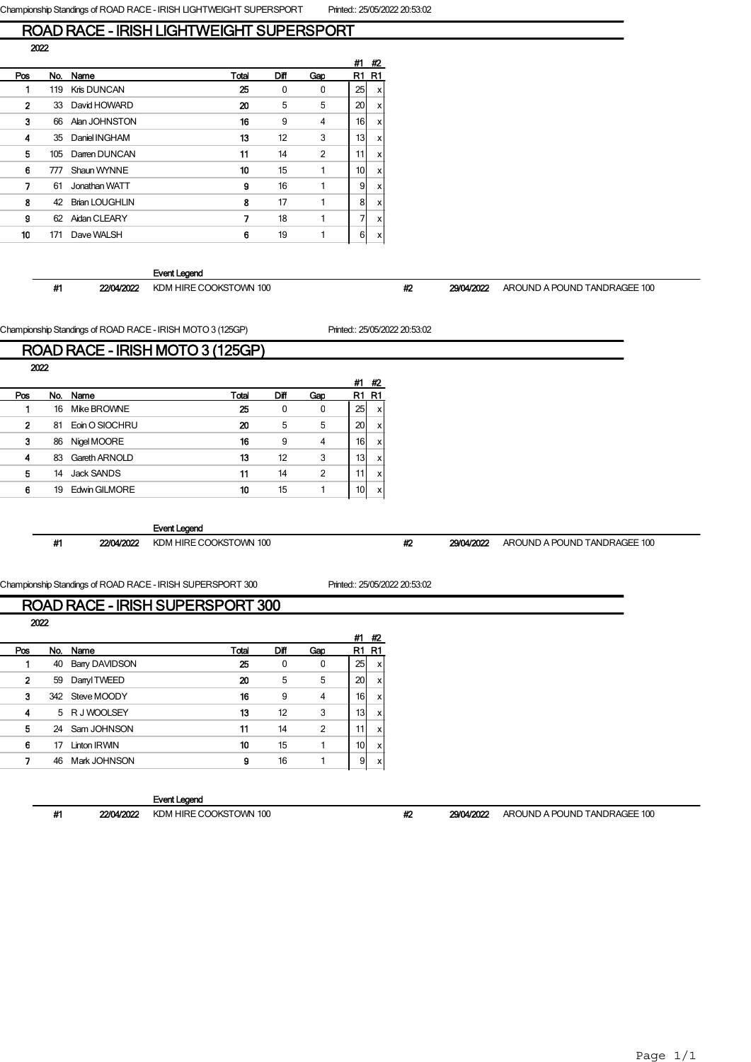## ROAD RACE - IRISH LIGHTWEIGHT SUPERSPORT 2022

|                |     |                       |       |      |                | #1              | #2 |
|----------------|-----|-----------------------|-------|------|----------------|-----------------|----|
| Pos            | No. | Name                  | Total | Diff | Gap            | R1              | R1 |
|                | 119 | Kris DUNCAN           | 25    | 0    | 0              | 25              | x  |
| $\overline{2}$ | 33  | David HOWARD          | 20    | 5    | 5              | 20              | x  |
| 3              | 66  | Alan JOHNSTON         | 16    | 9    | 4              | 16 <sup>1</sup> | x  |
| 4              | 35  | Daniel INGHAM         | 13    | 12   | 3              | 13              | x  |
| 5              | 105 | Darren DUNCAN         | 11    | 14   | $\overline{2}$ | 11              | x  |
| 6              | 777 | Shaun WYNNE           | 10    | 15   | 1              | 10              | x  |
| 7              | 61  | Jonathan WATT         | 9     | 16   | 1              | 9               | x  |
| 8              | 42  | <b>Brian LOUGHLIN</b> | 8     | 17   | 1              | 8               | x  |
| g              | 62  | Aidan CLEARY          | 7     | 18   | 1              | 7               | x  |
| 10             | 171 | Dave WALSH            | 6     | 19   |                | 6               | x  |
|                |     |                       |       |      |                |                 |    |

### Event Legend

#### #1 22/04/2022 KDM HIRE COOKSTOWN 100 #2 29/04/2022 AROUND A POUND TANDRAGEE 100

Championship Standings of ROAD RACE - IRISH MOTO 3 (125GP) Printed:: 25/05/2022 20:53:02

## ROAD RACE - IRISH MOTO 3 (125GP) 2022

|     |     |                |       |      |                | #1              | #2                        |
|-----|-----|----------------|-------|------|----------------|-----------------|---------------------------|
| Pos | No. | Name           | Total | Diff | Gap            | R1              | R1                        |
|     | 16  | Mike BROWNE    | 25    | 0    | 0              | 25              | X                         |
| 2   | 81  | Eoin O SIOCHRU | 20    | 5    | 5              | 20              | x                         |
| 3   | 86  | Nigel MOORE    | 16    | 9    | 4              | 16              | $\boldsymbol{\mathsf{X}}$ |
| 4   | 83  | Gareth ARNOLD  | 13    | 12   | 3              | 13 <sub>l</sub> | x                         |
| 5   | 14  | Jack SANDS     | 11    | 14   | $\overline{2}$ | 11.             | x                         |
| 6   | 19  | Edwin GILMORE  | 10    | 15   |                | 10              | x                         |
|     |     |                |       |      |                |                 |                           |

#### Event Legend

#1 22/04/2022 KDM HIRE COOKSTOWN 100 #2 29/04/2022 AROUND A POUND TANDRAGEE 100

## Championship Standings of ROAD RACE - IRISH SUPERSPORT 300 Printed:: 25/05/2022 20:53:02

## ROAD RACE - IRISH SUPERSPORT 300

2022

|     |    |                      |       |      |     | #1 | #2       |  |
|-----|----|----------------------|-------|------|-----|----|----------|--|
| Pos |    | No. Name             | Total | Diff | Gap | R1 | R1       |  |
|     | 40 | <b>Bany DAVIDSON</b> | 25    | 0    | 0   | 25 | xl       |  |
| 2   | 59 | Danyl TWEED          | 20    | 5    | 5   | 20 | x        |  |
| 3   |    | 342 Steve MOODY      | 16    | 9    | 4   | 16 | x        |  |
| 4   |    | 5 R J WOOLSEY        | 13    | 12   | 3   | 13 | x        |  |
| 5   |    | 24 Sam JOHNSON       | 11    | 14   | 2   | 11 | <b>X</b> |  |
| 6   | 17 | Linton IRWIN         | 10    | 15   |     | 10 | xl       |  |
|     | 46 | Mark JOHNSON         | 9     | 16   |     | 9  | <b>X</b> |  |
|     |    |                      |       |      |     |    |          |  |

### Event Legend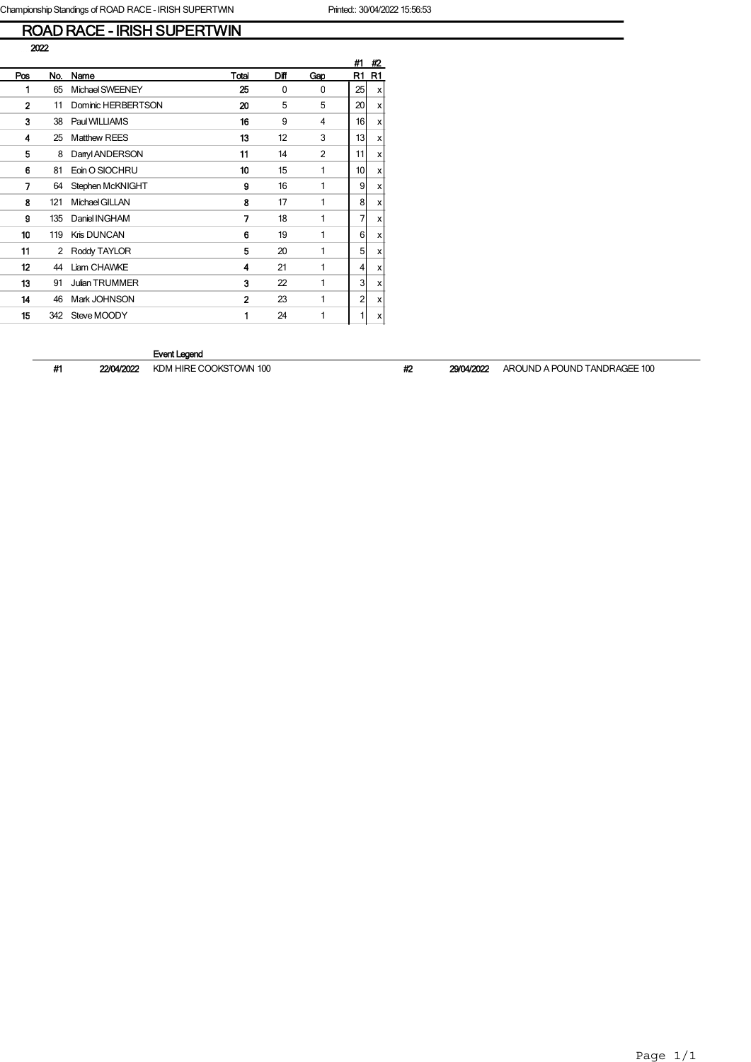# ROAD RACE - IRISH SUPERTWIN

| 2022           |     |                       |              |          |                |    |                           |
|----------------|-----|-----------------------|--------------|----------|----------------|----|---------------------------|
|                |     |                       |              |          |                | #1 | #2                        |
| Pos            | No. | Name                  | Total        | Diff     | Gap            | R1 | R1                        |
| 1              | 65  | Michael SWEENEY       | 25           | $\Omega$ | $\Omega$       | 25 | $\boldsymbol{\mathsf{x}}$ |
| $\overline{2}$ | 11  | Dominic HERBERTSON    | 20           | 5        | 5              | 20 | X                         |
| 3              | 38  | Paul WILLIAMS         | 16           | 9        | 4              | 16 | $\boldsymbol{\mathsf{x}}$ |
| 4              | 25  | <b>Matthew REES</b>   | 13           | 12       | 3              | 13 | $\boldsymbol{\mathsf{x}}$ |
| 5              | 8   | Danyl ANDERSON        | 11           | 14       | $\overline{2}$ | 11 | X                         |
| 6              | 81  | Eoin O SIOCHRU        | 10           | 15       | 1              | 10 | $\boldsymbol{\mathsf{x}}$ |
| 7              | 64  | Stephen McKNIGHT      | 9            | 16       | 1              | 9  | $\boldsymbol{\mathsf{x}}$ |
| 8              | 121 | Michael GILLAN        | 8            | 17       | 1              | 8  | $\boldsymbol{\mathsf{x}}$ |
| 9              | 135 | Daniel INGHAM         | 7            | 18       | 1              | 7  | $\boldsymbol{\mathsf{x}}$ |
| 10             | 119 | Kris DUNCAN           | 6            | 19       | 1              | 6  | $\boldsymbol{\mathsf{x}}$ |
| 11             | 2   | Roddy TAYLOR          | 5            | 20       | 1              | 5  | $\boldsymbol{\mathsf{x}}$ |
| 12             | 44  | Liam CHAWKE           | 4            | 21       | 1              | 4  | $\boldsymbol{\mathsf{x}}$ |
| 13             | 91  | <b>Julian TRUMMER</b> | 3            | 22       | 1              | 3  | $\boldsymbol{\mathsf{x}}$ |
| 14             | 46  | Mark JOHNSON          | $\mathbf{2}$ | 23       | 1              | 2  | X                         |
| 15             | 342 | Steve MOODY           | 1            | 24       | 1              | 1  | $\boldsymbol{\mathsf{x}}$ |
|                |     |                       |              |          |                |    |                           |

#### Event Legend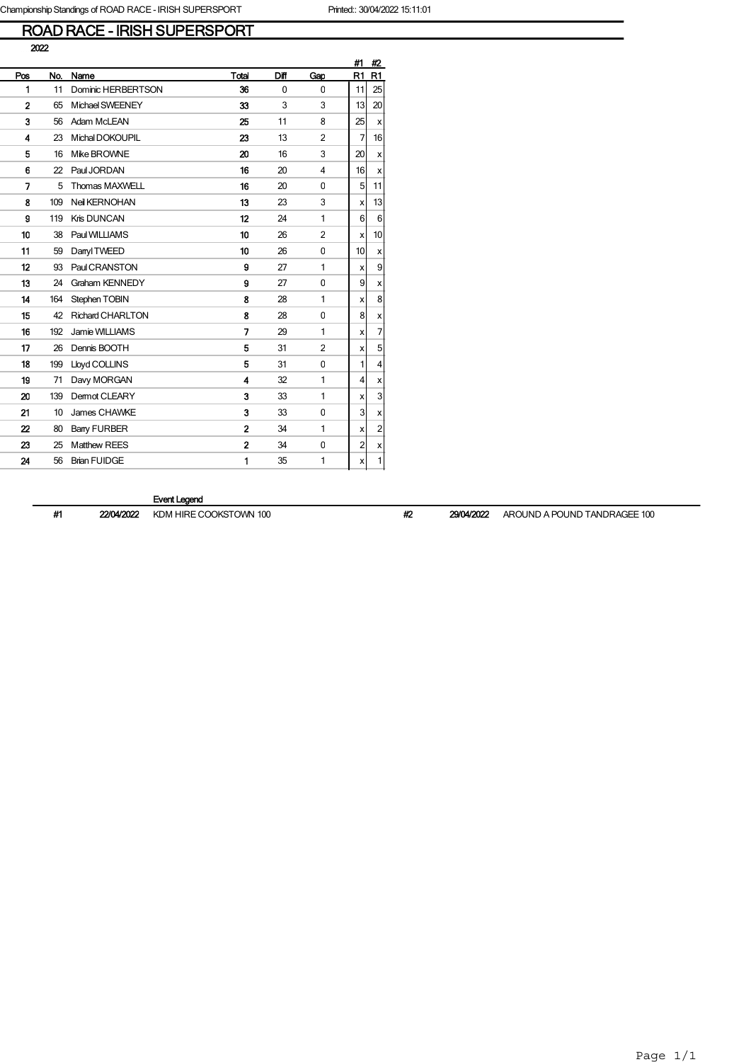# ROAD RACE - IRISH SUPERSPORT

|     |     |                         |                         |              |                | #1             | #2                        |
|-----|-----|-------------------------|-------------------------|--------------|----------------|----------------|---------------------------|
| Pos | No. | Name                    | Total                   | Diff         | Gap            | R1             | R1                        |
| 1   | 11  | Dominic HERBERTSON      | 36                      | $\mathbf{0}$ | $\Omega$       | 11             | 25                        |
| 2   | 65  | Michael SWEENEY         | 33                      | 3            | 3              | 13             | 20                        |
| 3   | 56  | Adam McLEAN             | 25                      | 11           | 8              | 25             | x                         |
| 4   | 23  | Michal DOKOUPIL         | 23                      | 13           | $\overline{2}$ | 7              | 16                        |
| 5   | 16  | Mike BROWNE             | 20                      | 16           | 3              | 20             | x                         |
| 6   | 22  | Paul JORDAN             | 16                      | 20           | 4              | 16             | x                         |
| 7   | 5   | Thomas MAXWELL          | 16                      | 20           | 0              | 5              | 11                        |
| 8   | 109 | Neil KERNOHAN           | 13                      | 23           | 3              | x              | 13                        |
| 9   | 119 | Kris DUNCAN             | 12                      | 24           | 1              | 6              | $6\phantom{.}6$           |
| 10  | 38  | Paul WILLIAMS           | 10                      | 26           | $\overline{2}$ | x              | 10                        |
| 11  | 59  | Danyl TWEED             | 10                      | 26           | 0              | 10             | $\boldsymbol{\mathsf{x}}$ |
| 12  | 93  | Paul CRANSTON           | 9                       | 27           | 1              | x              | $\overline{9}$            |
| 13  | 24  | Graham KENNEDY          | 9                       | 27           | 0              | 9              | $\boldsymbol{\mathsf{x}}$ |
| 14  | 164 | Stephen TOBIN           | 8                       | 28           | 1              | x              | 8                         |
| 15  | 42  | <b>Richard CHARLTON</b> | 8                       | 28           | 0              | 8              | $\boldsymbol{\mathsf{x}}$ |
| 16  | 192 | Jamie WILLIAMS          | 7                       | 29           | 1              | X              | 7                         |
| 17  | 26  | Dennis BOOTH            | 5                       | 31           | $\overline{2}$ | X              | 5                         |
| 18  | 199 | Lloyd COLLINS           | 5                       | 31           | 0              | 1              | 4                         |
| 19  | 71  | Davy MORGAN             | $\overline{\mathbf{4}}$ | 32           | 1              | 4              | X                         |
| 20  | 139 | <b>Demot CLEARY</b>     | 3                       | 33           | 1              | x              | 3                         |
| 21  | 10  | James CHAWKE            | 3                       | 33           | 0              | 3              | $\pmb{\times}$            |
| 22  | 80  | <b>Bany FURBER</b>      | $\overline{2}$          | 34           | 1              | x              | $\overline{c}$            |
| 23  | 25  | <b>Matthew REES</b>     | $\overline{a}$          | 34           | 0              | $\overline{2}$ | $\pmb{\times}$            |
| 24  | 56  | <b>Brian FUIDGE</b>     | 1                       | 35           | 1              | x              | $\mathbf{1}$              |
|     |     |                         |                         |              |                |                |                           |

Event Legend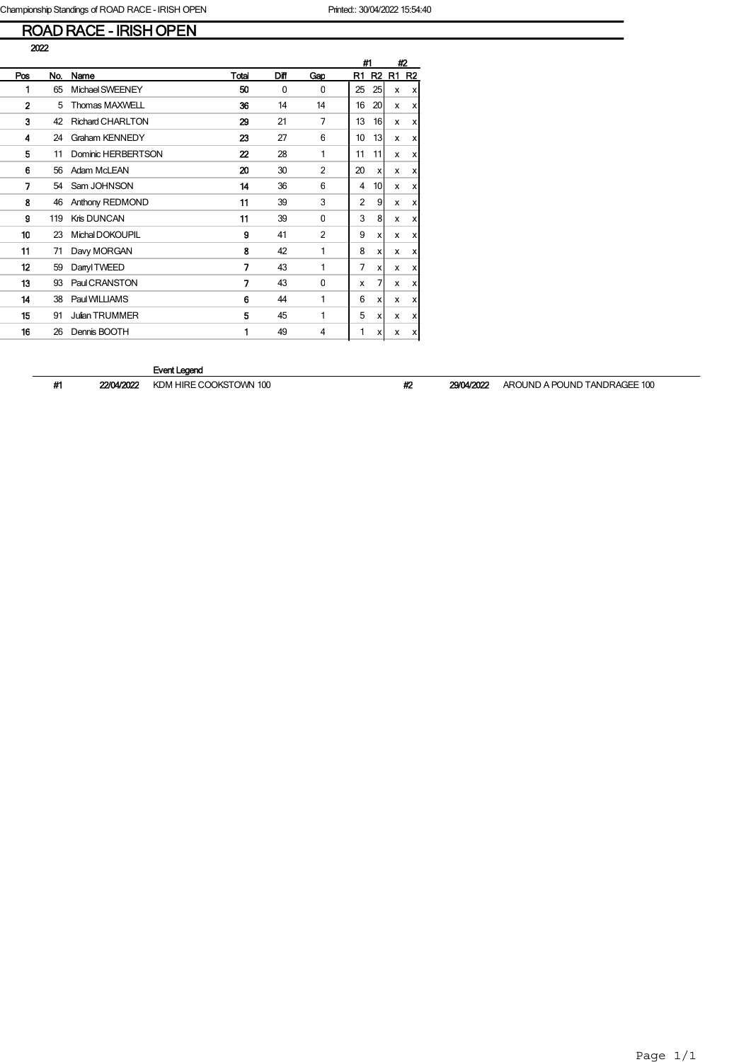## ROAD RACE - IRISH OPEN

|              |     |                         |       |          |              |                | #1                        |    | #2             |
|--------------|-----|-------------------------|-------|----------|--------------|----------------|---------------------------|----|----------------|
| Pos          | No. | Name                    | Total | Diff     | Gap          | R1             | R <sub>2</sub>            | R1 | R <sub>2</sub> |
| 1            | 65  | Michael SWEENEY         | 50    | $\Omega$ | $\Omega$     | 25             | 25                        | x  | x              |
| $\mathbf{2}$ | 5   | <b>Thomas MAXWELL</b>   | 36    | 14       | 14           | 16             | 20                        | x  | X              |
| 3            | 42  | <b>Richard CHARLTON</b> | 29    | 21       | 7            | 13             | 16                        | x  | x              |
| 4            | 24  | Graham KENNEDY          | 23    | 27       | 6            | 10             | 13                        | x  | x              |
| 5            | 11  | Dominic HERBERTSON      | 22    | 28       | 1            | 11             | 11                        | x  | х              |
| 6            | 56  | Adam McLEAN             | 20    | 30       | 2            | 20             | x                         | x  | x              |
| 7            | 54  | Sam JOHNSON             | 14    | 36       | 6            | 4              | 10 <sup>1</sup>           | x  | x              |
| 8            | 46  | Anthony REDMOND         | 11    | 39       | 3            | $\overline{2}$ | 9                         | x  | х              |
| 9            | 119 | Kris DUNCAN             | 11    | 39       | $\mathbf{0}$ | 3              | 8                         | x  | х              |
| 10           | 23  | Michal DOKOUPIL         | 9     | 41       | 2            | 9              | $\boldsymbol{\mathsf{x}}$ | x  | x              |
| 11           | 71  | Davy MORGAN             | 8     | 42       | 1            | 8              | x                         | x  | x              |
| 12           | 59  | Danyl TWEED             | 7     | 43       | 1            | 7              | x                         | x  | x              |
| 13           | 93  | Paul CRANSTON           | 7     | 43       | $\mathbf{0}$ | x              | 7                         | x  | x              |
| 14           | 38  | Paul WILLIAMS           | 6     | 44       | 1            | 6              | $\boldsymbol{\mathsf{x}}$ | x  | x              |
| 15           | 91  | <b>Julian TRUMMER</b>   | 5     | 45       | 1            | 5              | x                         | x  | x              |
| 16           | 26  | Dennis BOOTH            | 1     | 49       | 4            | 1              | x                         | x  | x              |

## Event Legend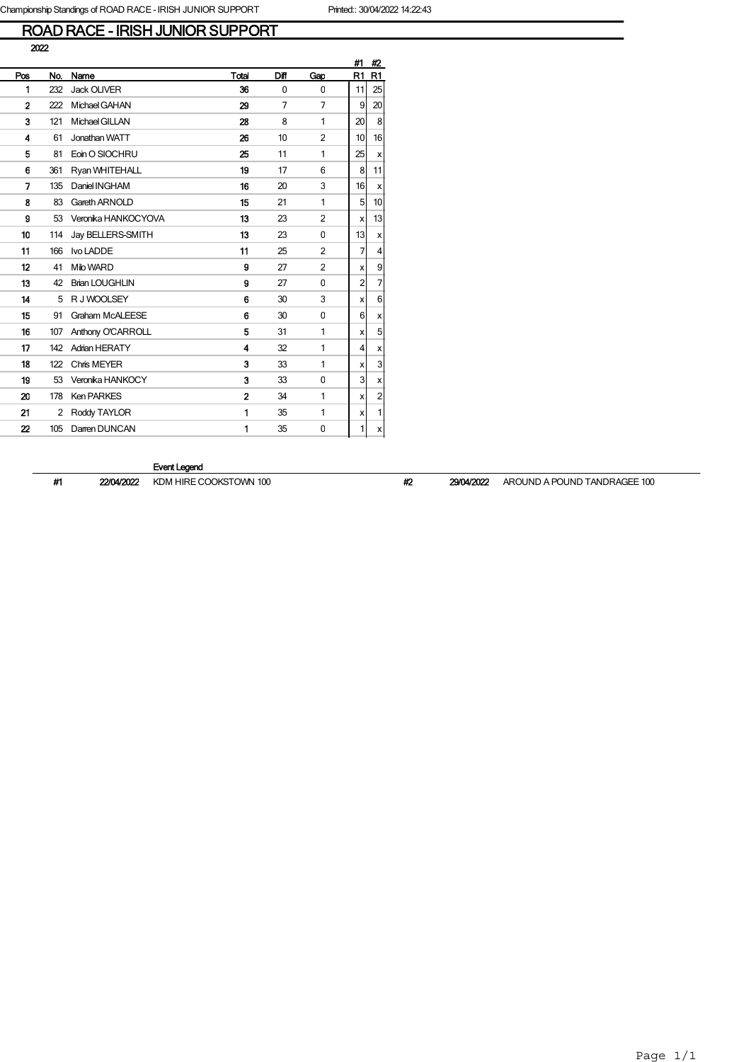# ROAD RACE - IRISH JUNIOR SUPPORT

|     |     |                        |                |          |                | #1 | #2             |
|-----|-----|------------------------|----------------|----------|----------------|----|----------------|
| Pos | No. | Name                   | Total          | Diff     | Gap            | R1 | R1             |
| 1   | 232 | <b>Jack OLIVER</b>     | 36             | $\Omega$ | 0              | 11 | 25             |
| 2   | 222 | Michael GAHAN          | 29             | 7        | 7              | 9  | 20             |
| 3   | 121 | Michael GILLAN         | 28             | 8        | 1              | 20 | 8              |
| 4   | 61  | Jonathan WATT          | 26             | 10       | $\overline{2}$ | 10 | 16             |
| 5   | 81  | Eoin O SIOCHRU         | 25             | 11       | 1              | 25 | X              |
| 6   | 361 | Ryan WHITEHALL         | 19             | 17       | 6              | 8  | 11             |
| 7   | 135 | Daniel INGHAM          | 16             | 20       | 3              | 16 | X              |
| 8   | 83  | Gareth ARNOLD          | 15             | 21       | 1              | 5  | 10             |
| 9   | 53  | Veronika HANKOCYOVA    | 13             | 23       | $\overline{2}$ | x  | 13             |
| 10  | 114 | Jay BELLERS-SMITH      | 13             | 23       | 0              | 13 | x              |
| 11  | 166 | Ivo LADDE              | 11             | 25       | $\overline{2}$ | 7  | 4              |
| 12  | 41  | Milo WARD              | 9              | 27       | $\overline{2}$ | X  | 9              |
| 13  | 42  | <b>Brian LOUGHLIN</b>  | 9              | 27       | 0              | 2  | $\overline{7}$ |
| 14  | 5   | R J WOOLSEY            | 6              | 30       | 3              | X  | 6              |
| 15  | 91  | <b>Graham McALEESE</b> | 6              | 30       | 0              | 6  | x              |
| 16  | 107 | Anthony O'CARROLL      | 5              | 31       | 1              | x  | 5              |
| 17  | 142 | <b>Adrian HERATY</b>   | 4              | 32       | 1              | 4  | x              |
| 18  | 122 | Chris MEYER            | 3              | 33       | 1              | х  | 3              |
| 19  | 53  | Veronika HANKOCY       | 3              | 33       | 0              | 3  | x              |
| 20  | 178 | <b>Ken PARKES</b>      | $\overline{2}$ | 34       | 1              | x  | $\mathbf 2$    |
| 21  | 2   | Roddy TAYLOR           | 1              | 35       | 1              | x  | $\mathbf{1}$   |
| 22  | 105 | Darren DUNCAN          | 1              | 35       | $\mathbf 0$    | 1  | x              |

#### Event Legend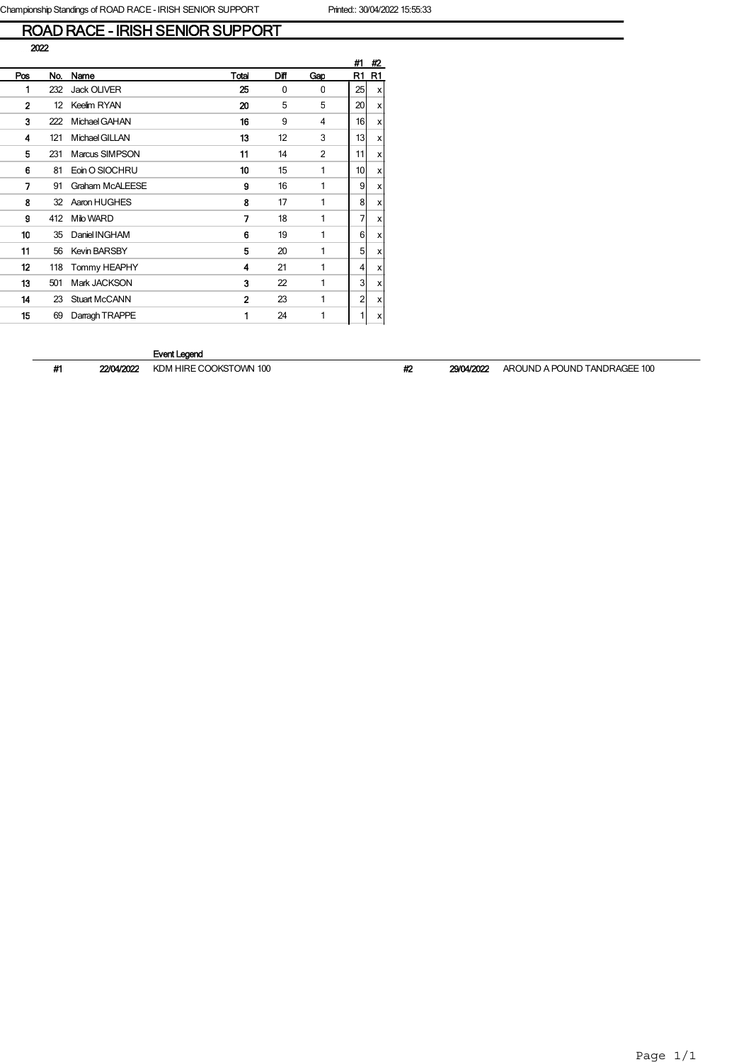# ROAD RACE - IRISH SENIOR SUPPORT

|              |     |                        |                |      |     | #1 | #2             |
|--------------|-----|------------------------|----------------|------|-----|----|----------------|
| Pos          | No. | Name                   | Total          | Diff | Gap | R1 | R <sub>1</sub> |
| 1            | 232 | <b>Jack OLIVER</b>     | 25             | 0    | 0   | 25 | x              |
| $\mathbf{2}$ | 12  | Keelim RYAN            | 20             | 5    | 5   | 20 | x              |
| 3            | 222 | Michael GAHAN          | 16             | 9    | 4   | 16 | x              |
| 4            | 121 | Michael GILLAN         | 13             | 12   | 3   | 13 | x              |
| 5            | 231 | Marcus SIMPSON         | 11             | 14   | 2   | 11 | x              |
| 6            | 81  | Eoin O SIOCHRU         | 10             | 15   | 1   | 10 | x              |
| 7            | 91  | <b>Graham McALEESE</b> | 9              | 16   | 1   | 9  | x              |
| 8            | 32  | Aaron HUGHES           | 8              | 17   | 1   | 8  | x              |
| 9            | 412 | Milo WARD              | 7              | 18   | 1   | 7  | x              |
| 10           | 35  | Daniel INGHAM          | 6              | 19   | 1   | 6  | x              |
| 11           | 56  | <b>Kevin BARSBY</b>    | 5              | 20   | 1   | 5  | x              |
| 12           | 118 | Tommy HEAPHY           | 4              | 21   | 1   | 4  | x              |
| 13           | 501 | Mark JACKSON           | 3              | 22   | 1   | 3  | x              |
| 14           | 23  | <b>Stuart McCANN</b>   | $\overline{2}$ | 23   | 1   | 2  | x              |
| 15           | 69  | Darragh TRAPPE         | 1              | 24   | 1   | 1  | x              |
|              |     |                        |                |      |     |    |                |

#### Event Legend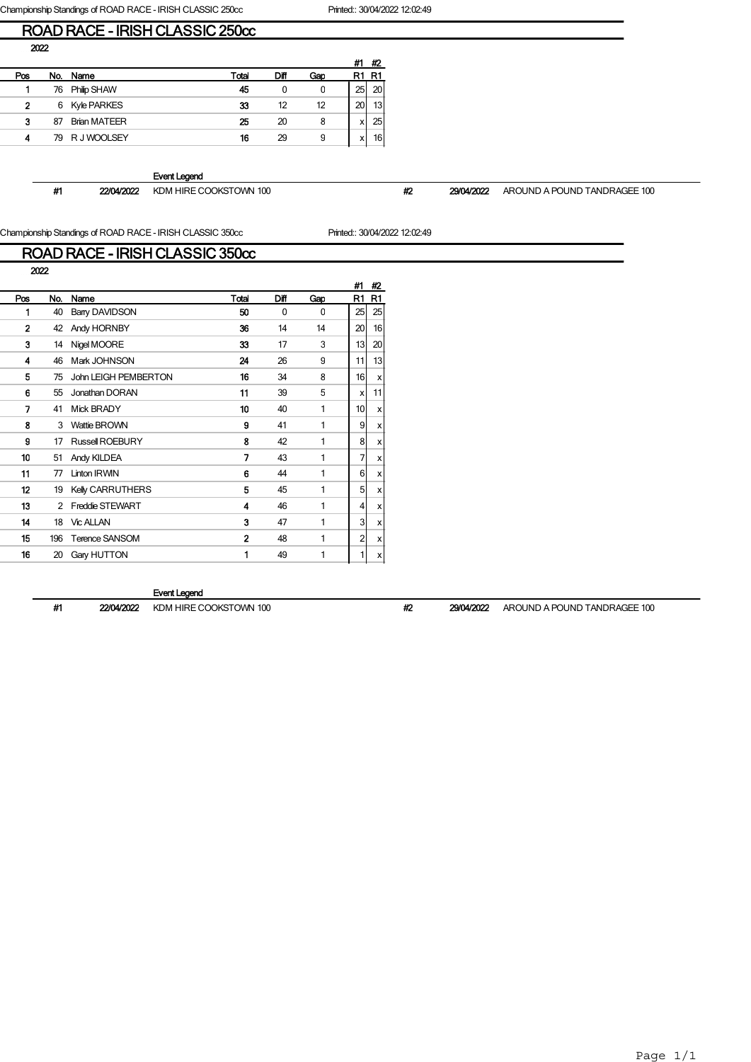Championship Standings of ROAD RACE - IRISH CLASSIC 250cc Printed:: 30/04/2022 12:02:49

## ROAD RACE - IRISH CLASSIC 250cc

|     |     |                     |       |      |     | #1 | #2              |
|-----|-----|---------------------|-------|------|-----|----|-----------------|
| Pos | No. | Name                | Total | Diff | Gao |    | R1              |
|     | 76  | Philip SHAW         | 45    | 0    | 0   | 25 | 20 <sub>1</sub> |
| 2   | 6   | Kyle PARKES         | 33    | 12   | 12  | 20 | 13 <sub>1</sub> |
| 3   | 87  | <b>Brian MATEER</b> | 25    | 20   | 8   | х  | 25              |
| 4   |     | 79 R J WOOLSEY      | 16    | 29   | 9   | х  | 16              |

Event Legend

#1 22/04/2022 KDM HIRE COOKSTOWN 100 #2 29/04/2022 AROUND A POUND TANDRAGEE 100

Championship Standings of ROAD RACE - IRISH CLASSIC 350cc Printed:: 30/04/2022 12:02:49

| Championship Standings of NOAD NACE - iNTSH CLASSIC 330CC<br>FIIREU JUUHZ<br>ROAD RACE - IRISH CLASSIC 350cc |      |                         |              |          |     |    |                |  |  |
|--------------------------------------------------------------------------------------------------------------|------|-------------------------|--------------|----------|-----|----|----------------|--|--|
|                                                                                                              | 2022 |                         |              |          |     | #1 | #2             |  |  |
| Pos                                                                                                          | No.  | Name                    | Total        | Diff     | Gap | R1 | R <sub>1</sub> |  |  |
| 1                                                                                                            | 40   | Barry DAVIDSON          | 50           | $\Omega$ | 0   | 25 | 25             |  |  |
| 2                                                                                                            | 42   | Andy HORNBY             | 36           | 14       | 14  | 20 | 16             |  |  |
| 3                                                                                                            | 14   | Nigel MOORE             | 33           | 17       | 3   | 13 | 20             |  |  |
| 4                                                                                                            | 46   | Mark JOHNSON            | 24           | 26       | 9   | 11 | 13             |  |  |
| 5                                                                                                            | 75   | John LEIGH PEMBERTON    | 16           | 34       | 8   | 16 | x              |  |  |
| 6                                                                                                            | 55   | Jonathan DORAN          | 11           | 39       | 5   | x  | 11             |  |  |
| 7                                                                                                            | 41   | <b>Mick BRADY</b>       | 10           | 40       | 1   | 10 | x              |  |  |
| 8                                                                                                            | 3    | <b>Wattie BROWN</b>     | 9            | 41       | 1   | 9  | x              |  |  |
| g                                                                                                            | 17   | Russell ROEBURY         | 8            | 42       | 1   | 8  | x              |  |  |
| 10                                                                                                           | 51   | Andy KILDEA             | 7            | 43       | 1   | 7  | x              |  |  |
| 11                                                                                                           | 77   | <b>Linton IRWIN</b>     | 6            | 44       | 1   | 6  | x              |  |  |
| 12                                                                                                           | 19   | <b>Kelly CARRUTHERS</b> | 5            | 45       | 1   | 5  | x              |  |  |
| 13                                                                                                           | 2    | <b>Freddie STEWART</b>  | 4            | 46       | 1   | 4  | x              |  |  |
| 14                                                                                                           | 18   | <b>Vic ALLAN</b>        | 3            | 47       | 1   | 3  | x              |  |  |
| 15                                                                                                           | 196  | <b>Terence SANSOM</b>   | $\mathbf{2}$ | 48       | 1   | 2  | х              |  |  |
| 16                                                                                                           | 20   | Gary HUTTON             | 1            | 49       | 1   | 1  | x              |  |  |
|                                                                                                              |      |                         |              |          |     |    |                |  |  |

#### Event Legend